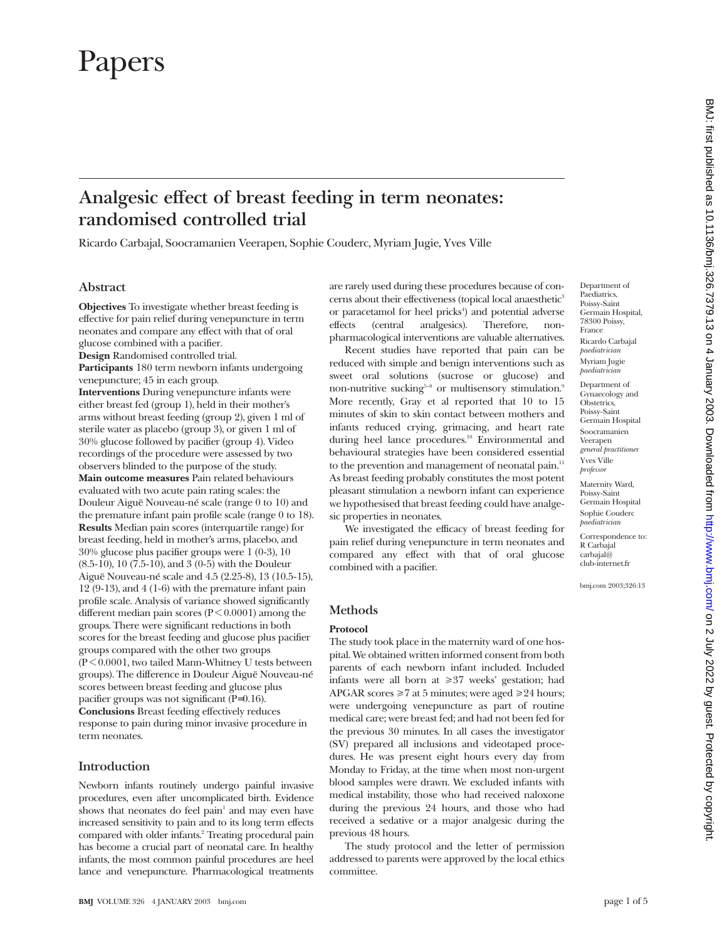# Papers

# **Analgesic effect of breast feeding in term neonates: randomised controlled trial**

Ricardo Carbajal, Soocramanien Veerapen, Sophie Couderc, Myriam Jugie, Yves Ville

# **Abstract**

**Objectives** To investigate whether breast feeding is effective for pain relief during venepuncture in term neonates and compare any effect with that of oral glucose combined with a pacifier.

**Design** Randomised controlled trial.

**Participants** 180 term newborn infants undergoing venepuncture; 45 in each group.

**Interventions** During venepuncture infants were either breast fed (group 1), held in their mother's arms without breast feeding (group 2), given 1 ml of sterile water as placebo (group 3), or given 1 ml of 30% glucose followed by pacifier (group 4). Video recordings of the procedure were assessed by two observers blinded to the purpose of the study.

**Main outcome measures** Pain related behaviours evaluated with two acute pain rating scales: the Douleur Aiguë Nouveau-né scale (range 0 to 10) and the premature infant pain profile scale (range 0 to 18). **Results** Median pain scores (interquartile range) for breast feeding, held in mother's arms, placebo, and 30% glucose plus pacifier groups were 1 (0-3), 10 (8.5-10), 10 (7.5-10), and 3 (0-5) with the Douleur Aiguë Nouveau-né scale and 4.5 (2.25-8), 13 (10.5-15), 12 (9-13), and 4 (1-6) with the premature infant pain profile scale. Analysis of variance showed significantly different median pain scores ( $P \le 0.0001$ ) among the groups. There were significant reductions in both scores for the breast feeding and glucose plus pacifier groups compared with the other two groups  $(P<0.0001$ , two tailed Mann-Whitney U tests between groups). The difference in Douleur Aiguë Nouveau-né scores between breast feeding and glucose plus pacifier groups was not significant (P=0.16). **Conclusions** Breast feeding effectively reduces response to pain during minor invasive procedure in term neonates.

# **Introduction**

Newborn infants routinely undergo painful invasive procedures, even after uncomplicated birth. Evidence shows that neonates do feel pain $1$  and may even have increased sensitivity to pain and to its long term effects compared with older infants.<sup>2</sup> Treating procedural pain has become a crucial part of neonatal care. In healthy infants, the most common painful procedures are heel lance and venepuncture. Pharmacological treatments

are rarely used during these procedures because of concerns about their effectiveness (topical local anaesthetic<sup>3</sup> or paracetamol for heel pricks<sup>4</sup>) and potential adverse effects (central analgesics). Therefore, nonpharmacological interventions are valuable alternatives.

Recent studies have reported that pain can be reduced with simple and benign interventions such as sweet oral solutions (sucrose or glucose) and non-nutritive sucking<sup>5-8</sup> or multisensory stimulation.<sup>9</sup> More recently, Gray et al reported that 10 to 15 minutes of skin to skin contact between mothers and infants reduced crying, grimacing, and heart rate during heel lance procedures.<sup>10</sup> Environmental and behavioural strategies have been considered essential to the prevention and management of neonatal pain.<sup>11</sup> As breast feeding probably constitutes the most potent pleasant stimulation a newborn infant can experience we hypothesised that breast feeding could have analgesic properties in neonates.

We investigated the efficacy of breast feeding for pain relief during venepuncture in term neonates and compared any effect with that of oral glucose combined with a pacifier.

Germain Hospital, 78300 Poissy, France Ricardo Carbajal *paediatrician* Myriam Jugie *paediatrician*

Department of Paediatrics, Poissy-Saint

Department of Gynaecology and **Obstetrics** Poissy-Saint Germain Hospital Soocramanien Veerapen *general practitioner*

Yves Ville *professor* Maternity Ward,

Poissy-Saint Germain Hospital Sophie Couderc

*paediatrician* Correspondence to: R Carbajal carbajal@ club-internet.fr

bmj.com 2003;326:13

# **Methods**

#### **Protocol**

The study took place in the maternity ward of one hospital. We obtained written informed consent from both parents of each newborn infant included. Included infants were all born at  $\geq 37$  weeks' gestation; had APGAR scores  $\geq 7$  at 5 minutes; were aged  $\geq 24$  hours; were undergoing venepuncture as part of routine medical care; were breast fed; and had not been fed for the previous 30 minutes. In all cases the investigator (SV) prepared all inclusions and videotaped procedures. He was present eight hours every day from Monday to Friday, at the time when most non-urgent blood samples were drawn. We excluded infants with medical instability, those who had received naloxone during the previous 24 hours, and those who had received a sedative or a major analgesic during the previous 48 hours.

The study protocol and the letter of permission addressed to parents were approved by the local ethics committee.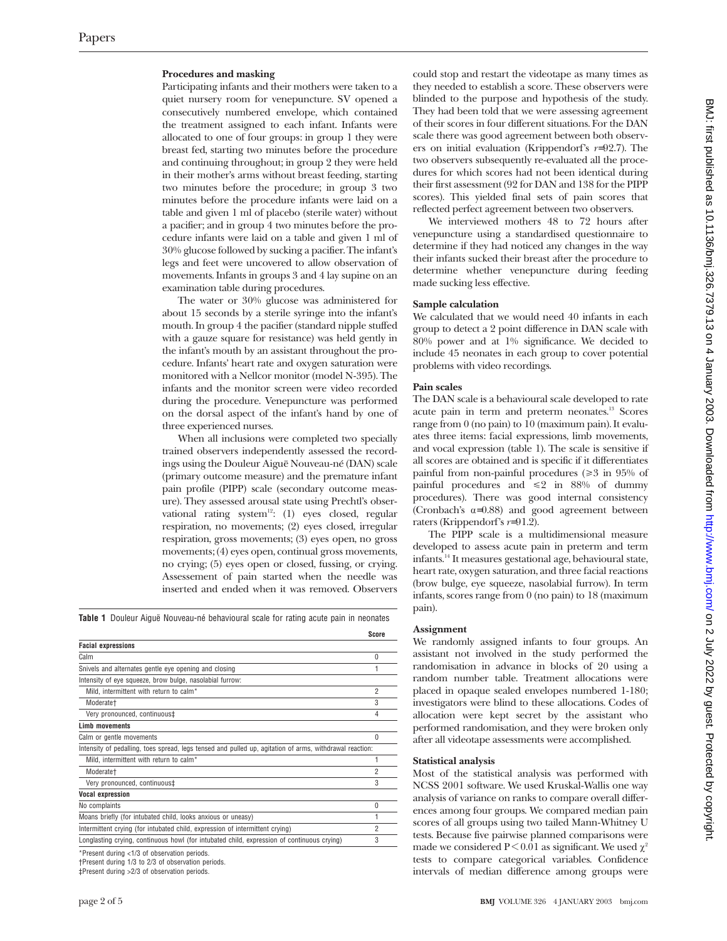#### **Procedures and masking**

Participating infants and their mothers were taken to a quiet nursery room for venepuncture. SV opened a consecutively numbered envelope, which contained the treatment assigned to each infant. Infants were allocated to one of four groups: in group 1 they were breast fed, starting two minutes before the procedure and continuing throughout; in group 2 they were held in their mother's arms without breast feeding, starting two minutes before the procedure; in group 3 two minutes before the procedure infants were laid on a table and given 1 ml of placebo (sterile water) without a pacifier; and in group 4 two minutes before the procedure infants were laid on a table and given 1 ml of 30% glucose followed by sucking a pacifier. The infant's legs and feet were uncovered to allow observation of movements. Infants in groups 3 and 4 lay supine on an examination table during procedures.

The water or 30% glucose was administered for about 15 seconds by a sterile syringe into the infant's mouth. In group 4 the pacifier (standard nipple stuffed with a gauze square for resistance) was held gently in the infant's mouth by an assistant throughout the procedure. Infants' heart rate and oxygen saturation were monitored with a Nellcor monitor (model N-395). The infants and the monitor screen were video recorded during the procedure. Venepuncture was performed on the dorsal aspect of the infant's hand by one of three experienced nurses.

When all inclusions were completed two specially trained observers independently assessed the recordings using the Douleur Aiguë Nouveau-né (DAN) scale (primary outcome measure) and the premature infant pain profile (PIPP) scale (secondary outcome measure). They assessed arousal state using Prechtl's observational rating system<sup>12</sup>: (1) eyes closed, regular respiration, no movements; (2) eyes closed, irregular respiration, gross movements; (3) eyes open, no gross movements; (4) eyes open, continual gross movements, no crying; (5) eyes open or closed, fussing, or crying. Assessement of pain started when the needle was inserted and ended when it was removed. Observers

**Table 1** Douleur Aiguë Nouveau-né behavioural scale for rating acute pain in neonates

|                                                                                                         | Score          |
|---------------------------------------------------------------------------------------------------------|----------------|
| <b>Facial expressions</b>                                                                               |                |
| Calm                                                                                                    | 0              |
| Snivels and alternates gentle eye opening and closing                                                   | 1              |
| Intensity of eye squeeze, brow bulge, nasolabial furrow:                                                |                |
| Mild, intermittent with return to calm*                                                                 | $\overline{2}$ |
| Moderate+                                                                                               | 3              |
| Very pronounced, continuous‡                                                                            | 4              |
| <b>Limb movements</b>                                                                                   |                |
| Calm or gentle movements                                                                                | $\theta$       |
| Intensity of pedalling, toes spread, legs tensed and pulled up, agitation of arms, withdrawal reaction: |                |
| Mild, intermittent with return to calm*                                                                 | 1              |
| Moderate+                                                                                               | $\overline{2}$ |
| Very pronounced, continuous‡                                                                            | 3              |
| <b>Vocal expression</b>                                                                                 |                |
| No complaints                                                                                           | 0              |
| Moans briefly (for intubated child, looks anxious or uneasy)                                            | 1              |
| Intermittent crying (for intubated child, expression of intermittent crying)                            | $\overline{2}$ |
| Longlasting crying, continuous howl (for intubated child, expression of continuous crying)              | 3              |

<sup>\*</sup>Present during <1/3 of observation periods.

†Present during 1/3 to 2/3 of observation periods.

could stop and restart the videotape as many times as they needed to establish a score. These observers were blinded to the purpose and hypothesis of the study. They had been told that we were assessing agreement of their scores in four different situations. For the DAN scale there was good agreement between both observers on initial evaluation (Krippendorf's *r*=92.7). The two observers subsequently re-evaluated all the procedures for which scores had not been identical during their first assessment (92 for DAN and 138 for the PIPP scores). This yielded final sets of pain scores that reflected perfect agreement between two observers.

We interviewed mothers 48 to 72 hours after venepuncture using a standardised questionnaire to determine if they had noticed any changes in the way their infants sucked their breast after the procedure to determine whether venepuncture during feeding made sucking less effective.

# **Sample calculation**

We calculated that we would need 40 infants in each group to detect a 2 point difference in DAN scale with 80% power and at 1% significance. We decided to include 45 neonates in each group to cover potential problems with video recordings.

#### **Pain scales**

The DAN scale is a behavioural scale developed to rate acute pain in term and preterm neonates.13 Scores range from 0 (no pain) to 10 (maximum pain). It evaluates three items: facial expressions, limb movements, and vocal expression (table 1). The scale is sensitive if all scores are obtained and is specific if it differentiates painful from non-painful procedures  $(\geq 3)$  in 95% of painful procedures and  $\leq 2$  in 88% of dummy procedures). There was good internal consistency (Cronbach's  $\alpha$ =0.88) and good agreement between raters (Krippendorf's *r*=91.2).

The PIPP scale is a multidimensional measure developed to assess acute pain in preterm and term infants.14 It measures gestational age, behavioural state, heart rate, oxygen saturation, and three facial reactions (brow bulge, eye squeeze, nasolabial furrow). In term infants, scores range from 0 (no pain) to 18 (maximum pain).

#### **Assignment**

We randomly assigned infants to four groups. An assistant not involved in the study performed the randomisation in advance in blocks of 20 using a random number table. Treatment allocations were placed in opaque sealed envelopes numbered 1-180; investigators were blind to these allocations. Codes of allocation were kept secret by the assistant who performed randomisation, and they were broken only after all videotape assessments were accomplished.

#### **Statistical analysis**

Most of the statistical analysis was performed with NCSS 2001 software. We used Kruskal-Wallis one way analysis of variance on ranks to compare overall differences among four groups. We compared median pain scores of all groups using two tailed Mann-Whitney U tests. Because five pairwise planned comparisons were made we considered P < 0.01 as significant. We used  $\chi^2$ tests to compare categorical variables. Confidence intervals of median difference among groups were

<sup>‡</sup>Present during >2/3 of observation periods.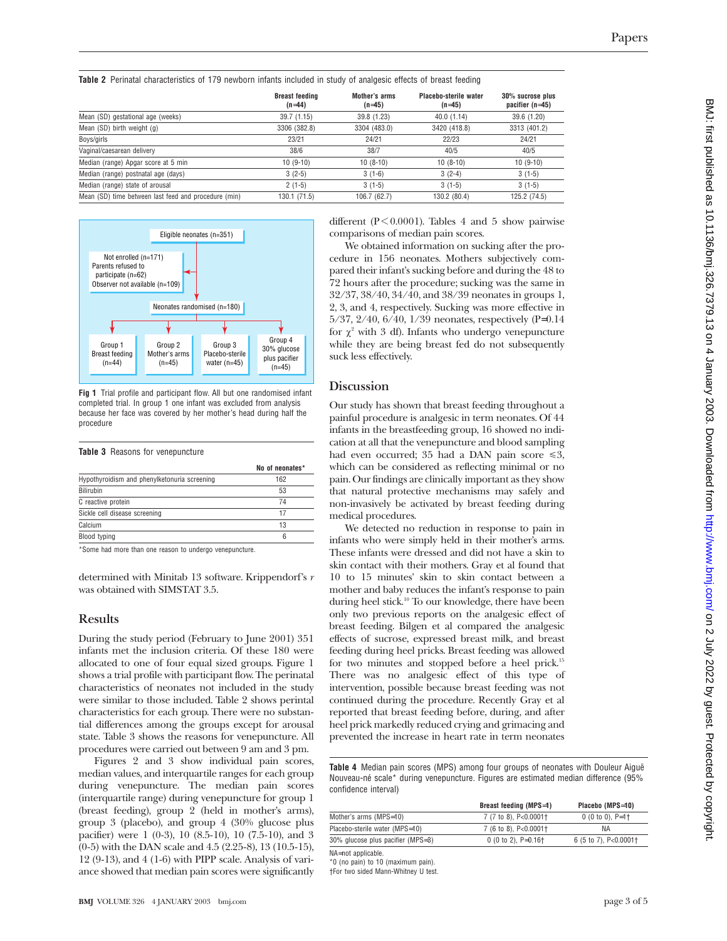**Table 2** Perinatal characteristics of 179 newborn infants included in study of analgesic effects of breast feeding

|                                                      | <b>Breast feeding</b><br>$(n=44)$ | Mother's arms<br>$(n=45)$ | Placebo-sterile water<br>$(n=45)$ | 30% sucrose plus<br>pacifier $(n=45)$ |
|------------------------------------------------------|-----------------------------------|---------------------------|-----------------------------------|---------------------------------------|
| Mean (SD) gestational age (weeks)                    | 39.7(1.15)                        | 39.8 (1.23)               | 40.0(1.14)                        | 39.6 (1.20)                           |
| Mean (SD) birth weight (g)                           | 3306 (382.8)                      | 3304 (483.0)              | 3420 (418.8)                      | 3313 (401.2)                          |
| Boys/girls                                           | 23/21                             | 24/21                     | 22/23                             | 24/21                                 |
| Vaginal/caesarean delivery                           | 38/6                              | 38/7                      | 40/5                              | 40/5                                  |
| Median (range) Apgar score at 5 min                  | $10(9-10)$                        | $10(8-10)$                | $10(8-10)$                        | $10(9-10)$                            |
| Median (range) postnatal age (days)                  | $3(2-5)$                          | $3(1-6)$                  | $3(2-4)$                          | $3(1-5)$                              |
| Median (range) state of arousal                      | $2(1-5)$                          | $3(1-5)$                  | $3(1-5)$                          | $3(1-5)$                              |
| Mean (SD) time between last feed and procedure (min) | 130.1 (71.5)                      | 106.7 (62.7)              | 130.2 (80.4)                      | 125.2 (74.5)                          |



**Fig 1** Trial profile and participant flow. All but one randomised infant completed trial. In group 1 one infant was excluded from analysis because her face was covered by her mother's head during half the procedure

#### **Table 3** Reasons for venepuncture

|                                              | No of neonates* |
|----------------------------------------------|-----------------|
| Hypothyroidism and phenylketonuria screening | 162             |
| Bilirubin                                    | 53              |
| C reactive protein                           | 74              |
| Sickle cell disease screening                | 17              |
| Calcium                                      | 13              |
| Blood typing                                 | 6               |
|                                              |                 |

\*Some had more than one reason to undergo venepuncture.

determined with Minitab 13 software. Krippendorf's *r* was obtained with SIMSTAT 3.5.

#### **Results**

During the study period (February to June 2001) 351 infants met the inclusion criteria. Of these 180 were allocated to one of four equal sized groups. Figure 1 shows a trial profile with participant flow. The perinatal characteristics of neonates not included in the study were similar to those included. Table 2 shows perintal characteristics for each group. There were no substantial differences among the groups except for arousal state. Table 3 shows the reasons for venepuncture. All procedures were carried out between 9 am and 3 pm.

Figures 2 and 3 show individual pain scores, median values, and interquartile ranges for each group during venepuncture. The median pain scores (interquartile range) during venepuncture for group 1 (breast feeding), group 2 (held in mother's arms), group 3 (placebo), and group 4 (30% glucose plus pacifier) were 1 (0-3), 10 (8.5-10), 10 (7.5-10), and 3 (0-5) with the DAN scale and 4.5 (2.25-8), 13 (10.5-15), 12 (9-13), and 4 (1-6) with PIPP scale. Analysis of variance showed that median pain scores were significantly

different ( $P \le 0.0001$ ). Tables 4 and 5 show pairwise comparisons of median pain scores.

We obtained information on sucking after the procedure in 156 neonates. Mothers subjectively compared their infant's sucking before and during the 48 to 72 hours after the procedure; sucking was the same in 32/37, 38/40, 34/40, and 38/39 neonates in groups 1, 2, 3, and 4, respectively. Sucking was more effective in 5/37, 2/40, 6/40, 1/39 neonates, respectively (P=0.14 for  $\chi^2$  with 3 df). Infants who undergo venepuncture while they are being breast fed do not subsequently suck less effectively.

# **Discussion**

Our study has shown that breast feeding throughout a painful procedure is analgesic in term neonates. Of 44 infants in the breastfeeding group, 16 showed no indication at all that the venepuncture and blood sampling had even occurred; 35 had a DAN pain score  $\leq 3$ , which can be considered as reflecting minimal or no pain. Our findings are clinically important as they show that natural protective mechanisms may safely and non-invasively be activated by breast feeding during medical procedures.

We detected no reduction in response to pain in infants who were simply held in their mother's arms. These infants were dressed and did not have a skin to skin contact with their mothers. Gray et al found that 10 to 15 minutes' skin to skin contact between a mother and baby reduces the infant's response to pain during heel stick.<sup>10</sup> To our knowledge, there have been only two previous reports on the analgesic effect of breast feeding. Bilgen et al compared the analgesic effects of sucrose, expressed breast milk, and breast feeding during heel pricks. Breast feeding was allowed for two minutes and stopped before a heel prick.15 There was no analgesic effect of this type of intervention, possible because breast feeding was not continued during the procedure. Recently Gray et al reported that breast feeding before, during, and after heel prick markedly reduced crying and grimacing and prevented the increase in heart rate in term neonates

**Table 4** Median pain scores (MPS) among four groups of neonates with Douleur Aiguë Nouveau-né scale\* during venepuncture. Figures are estimated median difference (95% confidence interval)

| Breast feeding (MPS=1)            | Placebo (MPS=10)              |
|-----------------------------------|-------------------------------|
| 7 (7 to 8), P<0.0001+             | $0(0 to 0), P=1$              |
| 7 (6 to 8), P<0.0001+             | ΝA                            |
| 0 (0 to 2), $P=0.16$ <sup>+</sup> | 6 (5 to 7), $P<0.0001\dagger$ |
|                                   |                               |

NA=not applicable.

\*0 (no pain) to 10 (maximum pain). †For two sided Mann-Whitney U test.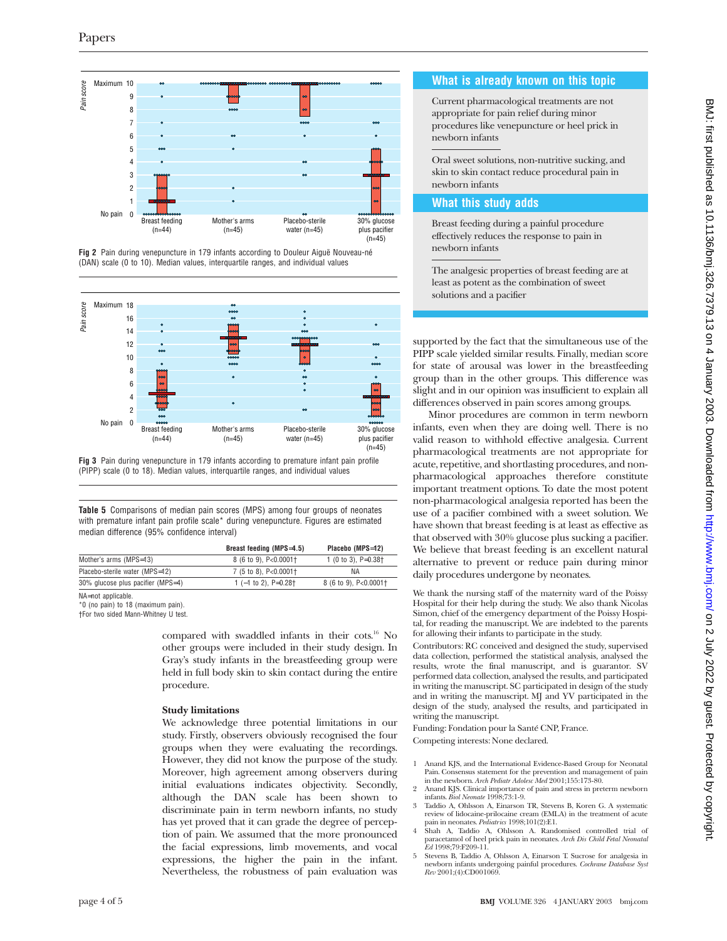







**Table 5** Comparisons of median pain scores (MPS) among four groups of neonates with premature infant pain profile scale\* during venepuncture. Figures are estimated median difference (95% confidence interval)

|                                   | Breast feeding (MPS=4.5)              | Placebo (MPS=12)            |
|-----------------------------------|---------------------------------------|-----------------------------|
| Mother's arms (MPS=13)            | 8 (6 to 9), P<0.0001+                 | 1 (0 to 3), $P=0.38\dagger$ |
| Placebo-sterile water (MPS=12)    | 7 (5 to 8), $P < 0.0001$ <sup>+</sup> | ΝA                          |
| 30% glucose plus pacifier (MPS=4) | 1 $(-1$ to 2). P=0.28+                | 8 (6 to 9), P<0.0001†       |
|                                   |                                       |                             |

NA=not applicable.

\*0 (no pain) to 18 (maximum pain).

†For two sided Mann-Whitney U test.

compared with swaddled infants in their cots.<sup>16</sup> No other groups were included in their study design. In Gray's study infants in the breastfeeding group were held in full body skin to skin contact during the entire procedure.

#### **Study limitations**

We acknowledge three potential limitations in our study. Firstly, observers obviously recognised the four groups when they were evaluating the recordings. However, they did not know the purpose of the study. Moreover, high agreement among observers during initial evaluations indicates objectivity. Secondly, although the DAN scale has been shown to discriminate pain in term newborn infants, no study has yet proved that it can grade the degree of perception of pain. We assumed that the more pronounced the facial expressions, limb movements, and vocal expressions, the higher the pain in the infant. Nevertheless, the robustness of pain evaluation was

### **What is already known on this topic**

Current pharmacological treatments are not appropriate for pain relief during minor procedures like venepuncture or heel prick in newborn infants

Oral sweet solutions, non-nutritive sucking, and skin to skin contact reduce procedural pain in newborn infants

# **What this study adds**

Breast feeding during a painful procedure effectively reduces the response to pain in newborn infants

The analgesic properties of breast feeding are at least as potent as the combination of sweet solutions and a pacifier

supported by the fact that the simultaneous use of the PIPP scale yielded similar results. Finally, median score for state of arousal was lower in the breastfeeding group than in the other groups. This difference was slight and in our opinion was insufficient to explain all differences observed in pain scores among groups.

Minor procedures are common in term newborn infants, even when they are doing well. There is no valid reason to withhold effective analgesia. Current pharmacological treatments are not appropriate for acute, repetitive, and shortlasting procedures, and nonpharmacological approaches therefore constitute important treatment options. To date the most potent non-pharmacological analgesia reported has been the use of a pacifier combined with a sweet solution. We have shown that breast feeding is at least as effective as that observed with 30% glucose plus sucking a pacifier. We believe that breast feeding is an excellent natural alternative to prevent or reduce pain during minor daily procedures undergone by neonates.

We thank the nursing staff of the maternity ward of the Poissy Hospital for their help during the study. We also thank Nicolas Simon, chief of the emergency department of the Poissy Hospital, for reading the manuscript. We are indebted to the parents for allowing their infants to participate in the study.

Contributors: RC conceived and designed the study, supervised data collection, performed the statistical analysis, analysed the results, wrote the final manuscript, and is guarantor. SV performed data collection, analysed the results, and participated in writing the manuscript. SC participated in design of the study and in writing the manuscript. MJ and YV participated in the design of the study, analysed the results, and participated in writing the manuscript.

Funding: Fondation pour la Santé CNP, France.

Competing interests: None declared.

- 1 Anand KJS, and the International Evidence-Based Group for Neonatal Pain. Consensus statement for the prevention and management of pain in the newborn. *Arch Pediatr Adolesc Med* 2001;155:173-80.
- 2 Anand KJS. Clinical importance of pain and stress in preterm newborn infants. *Biol Neonate* 1998;73:1-9.
- 3 Taddio A, Ohlsson A, Einarson TR, Stevens B, Koren G. A systematic review of lidocaine-prilocaine cream (EMLA) in the treatment of acute pain in neonates. *Pediatrics* 1998;101(2):E1.
- Shah A, Taddio A, Ohlsson A. Randomised controlled trial of paracetamol of heel prick pain in neonates. *Arch Dis Child Fetal Neonatal Ed* 1998;79:F209-11.
- 5 Stevens B, Taddio A, Ohlsson A, Einarson T. Sucrose for analgesia in newborn infants undergoing painful procedures. *Cochrane Database Syst Rev* 2001;(4):CD001069.